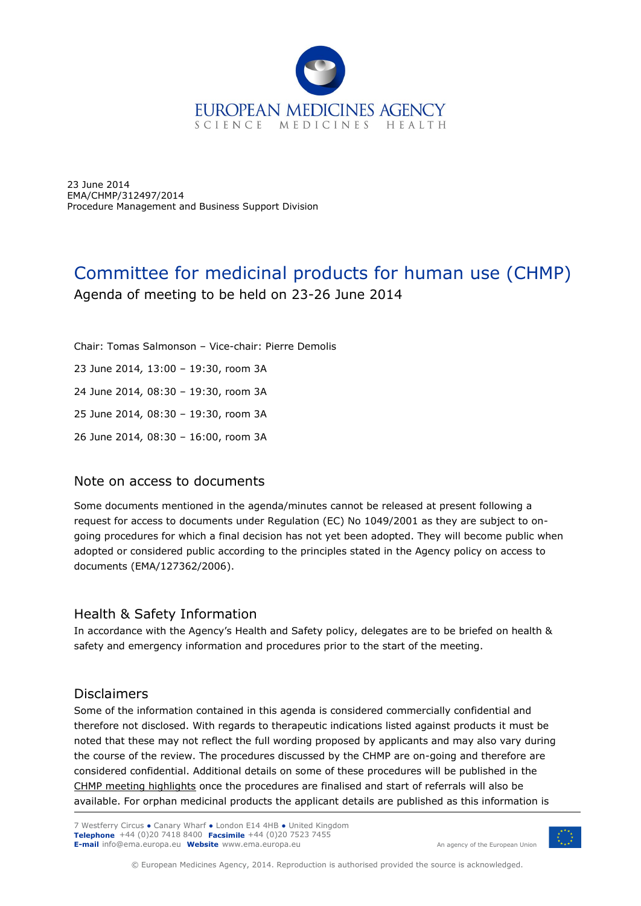

23 June 2014 EMA/CHMP/312497/2014 Procedure Management and Business Support Division

# Committee for medicinal products for human use (CHMP) Agenda of meeting to be held on 23-26 June 2014

Chair: Tomas Salmonson – Vice-chair: Pierre Demolis 23 June 2014*,* 13:00 – 19:30, room 3A 24 June 2014*,* 08:30 – 19:30, room 3A 25 June 2014*,* 08:30 – 19:30, room 3A 26 June 2014*,* 08:30 – 16:00, room 3A

## Note on access to documents

Some documents mentioned in the agenda/minutes cannot be released at present following a request for access to documents under Regulation (EC) No 1049/2001 as they are subject to ongoing procedures for which a final decision has not yet been adopted. They will become public when adopted or considered public according to the principles stated in the Agency policy on access to documents (EMA/127362/2006).

## Health & Safety Information

In accordance with the Agency's Health and Safety policy, delegates are to be briefed on health & safety and emergency information and procedures prior to the start of the meeting.

## Disclaimers

Some of the information contained in this agenda is considered commercially confidential and therefore not disclosed. With regards to therapeutic indications listed against products it must be noted that these may not reflect the full wording proposed by applicants and may also vary during the course of the review. The procedures discussed by the CHMP are on-going and therefore are considered confidential. Additional details on some of these procedures will be published in the [CHMP meeting highlights](http://www.ema.europa.eu/ema/index.jsp?curl=pages/about_us/general/general_content_000508.jsp&mid=WC0b01ac0580028d2a) once the procedures are finalised and start of referrals will also be available. For orphan medicinal products the applicant details are published as this information is

7 Westferry Circus **●** Canary Wharf **●** London E14 4HB **●** United Kingdom **Telephone** +44 (0)20 7418 8400 **Facsimile** +44 (0)20 7523 7455 **E-mail** info@ema.europa.eu **Website** www.ema.europa.eu





© European Medicines Agency, 2014. Reproduction is authorised provided the source is acknowledged.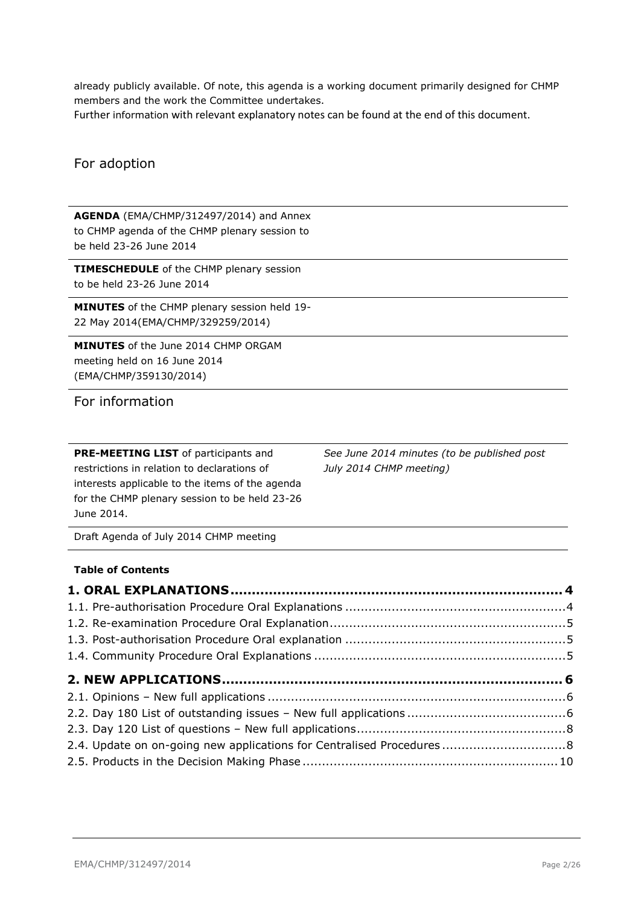already publicly available. Of note, this agenda is a working document primarily designed for CHMP members and the work the Committee undertakes.

Further information with relevant explanatory notes can be found at the end of this document.

## For adoption

**AGENDA** (EMA/CHMP/312497/2014) and Annex to CHMP agenda of the CHMP plenary session to be held 23-26 June 2014

**TIMESCHEDULE** of the CHMP plenary session to be held 23-26 June 2014

**MINUTES** of the CHMP plenary session held 19- 22 May 2014(EMA/CHMP/329259/2014)

**MINUTES** of the June 2014 CHMP ORGAM meeting held on 16 June 2014 (EMA/CHMP/359130/2014)

For information

**PRE-MEETING LIST** of participants and restrictions in relation to declarations of interests applicable to the items of the agenda for the CHMP plenary session to be held 23-26 June 2014.

*See June 2014 minutes (to be published post July 2014 CHMP meeting)*

Draft Agenda of July 2014 CHMP meeting

### **Table of Contents**

| 2.4. Update on on-going new applications for Centralised Procedures 8 |  |
|-----------------------------------------------------------------------|--|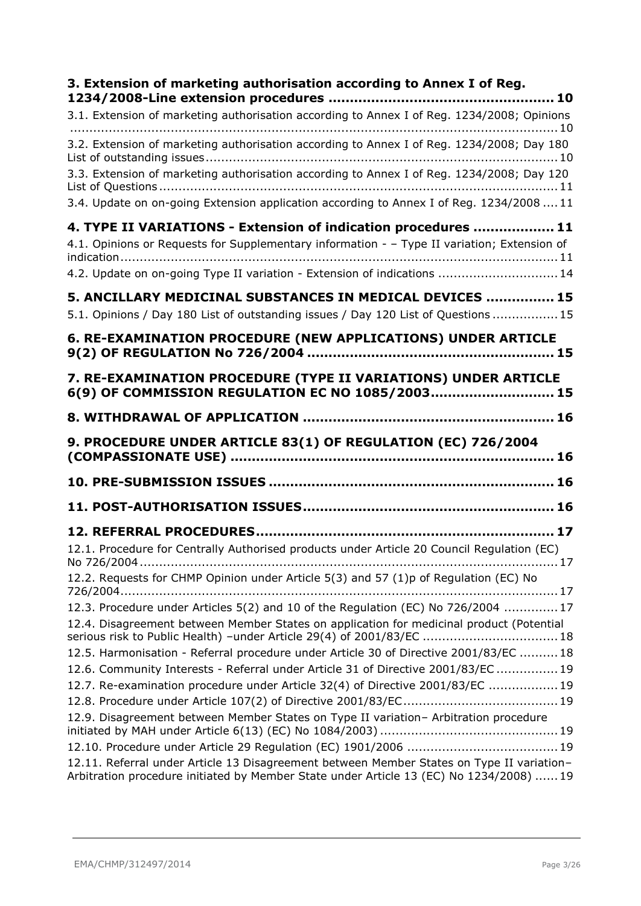| 3. Extension of marketing authorisation according to Annex I of Reg.                                                                                              |
|-------------------------------------------------------------------------------------------------------------------------------------------------------------------|
| 3.1. Extension of marketing authorisation according to Annex I of Reg. 1234/2008; Opinions                                                                        |
|                                                                                                                                                                   |
| 3.2. Extension of marketing authorisation according to Annex I of Reg. 1234/2008; Day 180                                                                         |
|                                                                                                                                                                   |
| 3.3. Extension of marketing authorisation according to Annex I of Reg. 1234/2008; Day 120                                                                         |
|                                                                                                                                                                   |
| 3.4. Update on on-going Extension application according to Annex I of Reg. 1234/2008  11                                                                          |
| 4. TYPE II VARIATIONS - Extension of indication procedures  11                                                                                                    |
| 4.1. Opinions or Requests for Supplementary information - - Type II variation; Extension of                                                                       |
|                                                                                                                                                                   |
| 4.2. Update on on-going Type II variation - Extension of indications  14                                                                                          |
| 5. ANCILLARY MEDICINAL SUBSTANCES IN MEDICAL DEVICES  15                                                                                                          |
| 5.1. Opinions / Day 180 List of outstanding issues / Day 120 List of Questions  15                                                                                |
| 6. RE-EXAMINATION PROCEDURE (NEW APPLICATIONS) UNDER ARTICLE                                                                                                      |
|                                                                                                                                                                   |
|                                                                                                                                                                   |
| 7. RE-EXAMINATION PROCEDURE (TYPE II VARIATIONS) UNDER ARTICLE<br>6(9) OF COMMISSION REGULATION EC NO 1085/2003 15                                                |
|                                                                                                                                                                   |
|                                                                                                                                                                   |
| 9. PROCEDURE UNDER ARTICLE 83(1) OF REGULATION (EC) 726/2004                                                                                                      |
|                                                                                                                                                                   |
|                                                                                                                                                                   |
|                                                                                                                                                                   |
| 12.1. Procedure for Centrally Authorised products under Article 20 Council Regulation (EC)                                                                        |
| 12.2. Requests for CHMP Opinion under Article 5(3) and 57 (1)p of Regulation (EC) No                                                                              |
|                                                                                                                                                                   |
| 12.3. Procedure under Articles 5(2) and 10 of the Regulation (EC) No 726/2004 17                                                                                  |
| 12.4. Disagreement between Member States on application for medicinal product (Potential<br>serious risk to Public Health) -under Article 29(4) of 2001/83/EC  18 |
| 12.5. Harmonisation - Referral procedure under Article 30 of Directive 2001/83/EC 18                                                                              |
| 12.6. Community Interests - Referral under Article 31 of Directive 2001/83/EC  19                                                                                 |
|                                                                                                                                                                   |
| 12.7. Re-examination procedure under Article 32(4) of Directive 2001/83/EC  19                                                                                    |
| 12.9. Disagreement between Member States on Type II variation- Arbitration procedure                                                                              |
|                                                                                                                                                                   |
| 12.11. Referral under Article 13 Disagreement between Member States on Type II variation-                                                                         |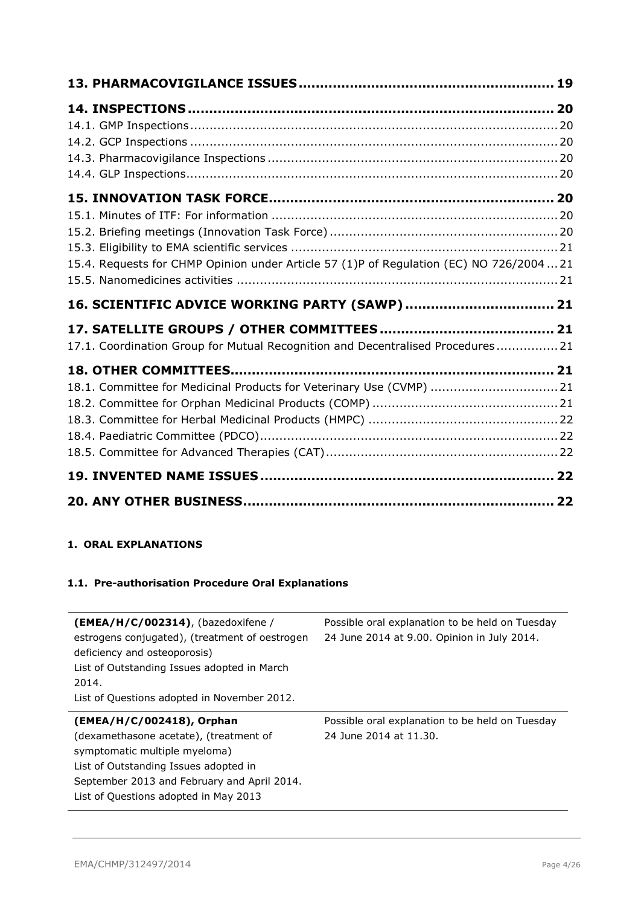| 15.4. Requests for CHMP Opinion under Article 57 (1)P of Regulation (EC) NO 726/2004  21 |  |
|------------------------------------------------------------------------------------------|--|
|                                                                                          |  |
|                                                                                          |  |
| 16. SCIENTIFIC ADVICE WORKING PARTY (SAWP)  21                                           |  |
|                                                                                          |  |
| 17.1. Coordination Group for Mutual Recognition and Decentralised Procedures 21          |  |
|                                                                                          |  |
| 18.1. Committee for Medicinal Products for Veterinary Use (CVMP)  21                     |  |
|                                                                                          |  |
|                                                                                          |  |
|                                                                                          |  |
|                                                                                          |  |
|                                                                                          |  |

## <span id="page-3-0"></span>**1. ORAL EXPLANATIONS**

## <span id="page-3-1"></span>**1.1. Pre-authorisation Procedure Oral Explanations**

| $(EMEA/H/C/002314)$ , (bazedoxifene /<br>estrogens conjugated), (treatment of oestrogen<br>deficiency and osteoporosis)<br>List of Outstanding Issues adopted in March<br>2014.<br>List of Questions adopted in November 2012.        | Possible oral explanation to be held on Tuesday<br>24 June 2014 at 9.00. Opinion in July 2014. |
|---------------------------------------------------------------------------------------------------------------------------------------------------------------------------------------------------------------------------------------|------------------------------------------------------------------------------------------------|
| (EMEA/H/C/002418), Orphan<br>(dexamethasone acetate), (treatment of<br>symptomatic multiple myeloma)<br>List of Outstanding Issues adopted in<br>September 2013 and February and April 2014.<br>List of Questions adopted in May 2013 | Possible oral explanation to be held on Tuesday<br>24 June 2014 at 11.30.                      |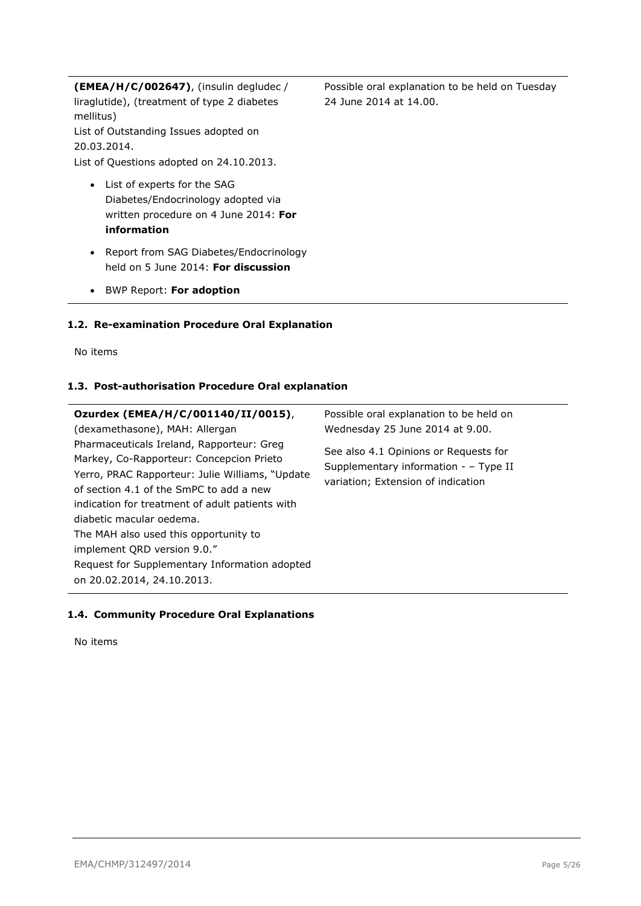**(EMEA/H/C/002647)**, (insulin degludec / liraglutide), (treatment of type 2 diabetes mellitus) List of Outstanding Issues adopted on 20.03.2014. List of Questions adopted on 24.10.2013.

- List of experts for the SAG Diabetes/Endocrinology adopted via written procedure on 4 June 2014: **For information**
- Report from SAG Diabetes/Endocrinology held on 5 June 2014: **For discussion**
- BWP Report: **For adoption**

## <span id="page-4-0"></span>**1.2. Re-examination Procedure Oral Explanation**

No items

### <span id="page-4-1"></span>**1.3. Post-authorisation Procedure Oral explanation**

| Ozurdex (EMEA/H/C/001140/II/0015),                                                                                                       | Possible oral explanation to be held on                                                                              |
|------------------------------------------------------------------------------------------------------------------------------------------|----------------------------------------------------------------------------------------------------------------------|
| (dexamethasone), MAH: Allergan                                                                                                           | Wednesday 25 June 2014 at 9.00.                                                                                      |
| Pharmaceuticals Ireland, Rapporteur: Greg<br>Markey, Co-Rapporteur: Concepcion Prieto<br>Yerro, PRAC Rapporteur: Julie Williams, "Update | See also 4.1 Opinions or Requests for<br>Supplementary information - - Type II<br>variation; Extension of indication |
| of section 4.1 of the SmPC to add a new                                                                                                  |                                                                                                                      |
| indication for treatment of adult patients with                                                                                          |                                                                                                                      |
| diabetic macular oedema.                                                                                                                 |                                                                                                                      |
| The MAH also used this opportunity to                                                                                                    |                                                                                                                      |
| implement QRD version 9.0."                                                                                                              |                                                                                                                      |
| Request for Supplementary Information adopted                                                                                            |                                                                                                                      |
| on 20.02.2014, 24.10.2013.                                                                                                               |                                                                                                                      |

#### <span id="page-4-2"></span>**1.4. Community Procedure Oral Explanations**

No items

Possible oral explanation to be held on Tuesday 24 June 2014 at 14.00.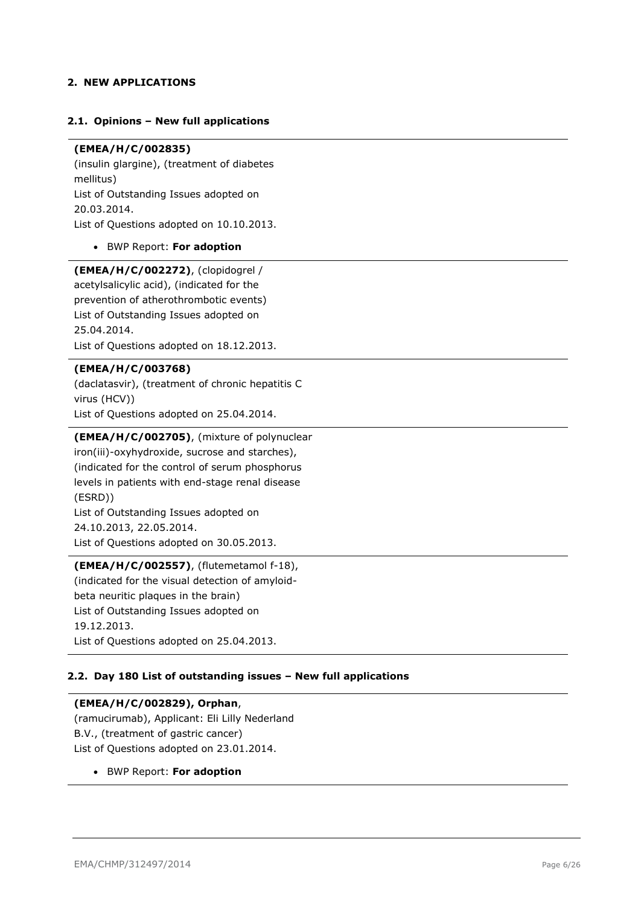### <span id="page-5-0"></span>**2. NEW APPLICATIONS**

#### <span id="page-5-1"></span>**2.1. Opinions – New full applications**

## **(EMEA/H/C/002835)**

(insulin glargine), (treatment of diabetes mellitus) List of Outstanding Issues adopted on 20.03.2014. List of Questions adopted on 10.10.2013.

BWP Report: **For adoption**

**(EMEA/H/C/002272)**, (clopidogrel / acetylsalicylic acid), (indicated for the prevention of atherothrombotic events) List of Outstanding Issues adopted on 25.04.2014. List of Questions adopted on 18.12.2013.

#### **(EMEA/H/C/003768)**

(daclatasvir), (treatment of chronic hepatitis C virus (HCV)) List of Questions adopted on 25.04.2014.

#### **(EMEA/H/C/002705)**, (mixture of polynuclear

iron(iii)-oxyhydroxide, sucrose and starches), (indicated for the control of serum phosphorus levels in patients with end-stage renal disease (ESRD)) List of Outstanding Issues adopted on 24.10.2013, 22.05.2014. List of Questions adopted on 30.05.2013.

## **(EMEA/H/C/002557)**, (flutemetamol f-18),

(indicated for the visual detection of amyloidbeta neuritic plaques in the brain) List of Outstanding Issues adopted on 19.12.2013. List of Questions adopted on 25.04.2013.

#### <span id="page-5-2"></span>**2.2. Day 180 List of outstanding issues – New full applications**

#### **(EMEA/H/C/002829), Orphan**,

(ramucirumab), Applicant: Eli Lilly Nederland B.V., (treatment of gastric cancer) List of Questions adopted on 23.01.2014.

BWP Report: **For adoption**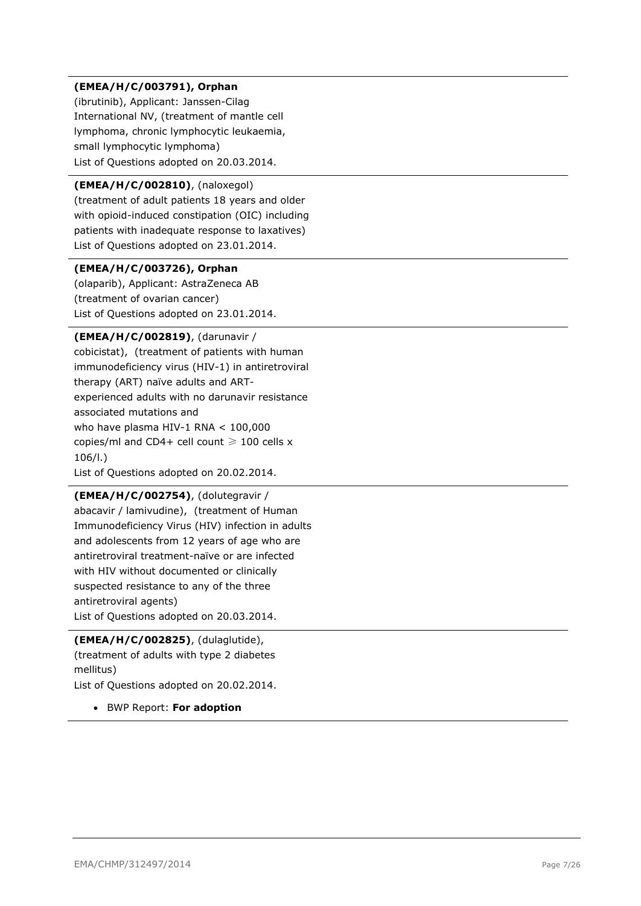## **(EMEA/H/C/003791), Orphan**

(ibrutinib), Applicant: Janssen-Cilag International NV, (treatment of mantle cell lymphoma, chronic lymphocytic leukaemia, small lymphocytic lymphoma) List of Questions adopted on 20.03.2014.

## **(EMEA/H/C/002810)**, (naloxegol)

(treatment of adult patients 18 years and older with opioid-induced constipation (OIC) including patients with inadequate response to laxatives) List of Questions adopted on 23.01.2014.

#### **(EMEA/H/C/003726), Orphan**

(olaparib), Applicant: AstraZeneca AB (treatment of ovarian cancer) List of Questions adopted on 23.01.2014.

#### **(EMEA/H/C/002819)**, (darunavir /

cobicistat), (treatment of patients with human immunodeficiency virus (HIV-1) in antiretroviral therapy (ART) naïve adults and ARTexperienced adults with no darunavir resistance associated mutations and who have plasma HIV-1 RNA < 100,000 copies/ml and CD4+ cell count  $\geq 100$  cells x 106/l.) List of Questions adopted on 20.02.2014.

## **(EMEA/H/C/002754)**, (dolutegravir /

abacavir / lamivudine), (treatment of Human Immunodeficiency Virus (HIV) infection in adults and adolescents from 12 years of age who are antiretroviral treatment-naïve or are infected with HIV without documented or clinically suspected resistance to any of the three antiretroviral agents) List of Questions adopted on 20.03.2014.

## **(EMEA/H/C/002825)**, (dulaglutide),

(treatment of adults with type 2 diabetes mellitus)

List of Questions adopted on 20.02.2014.

BWP Report: **For adoption**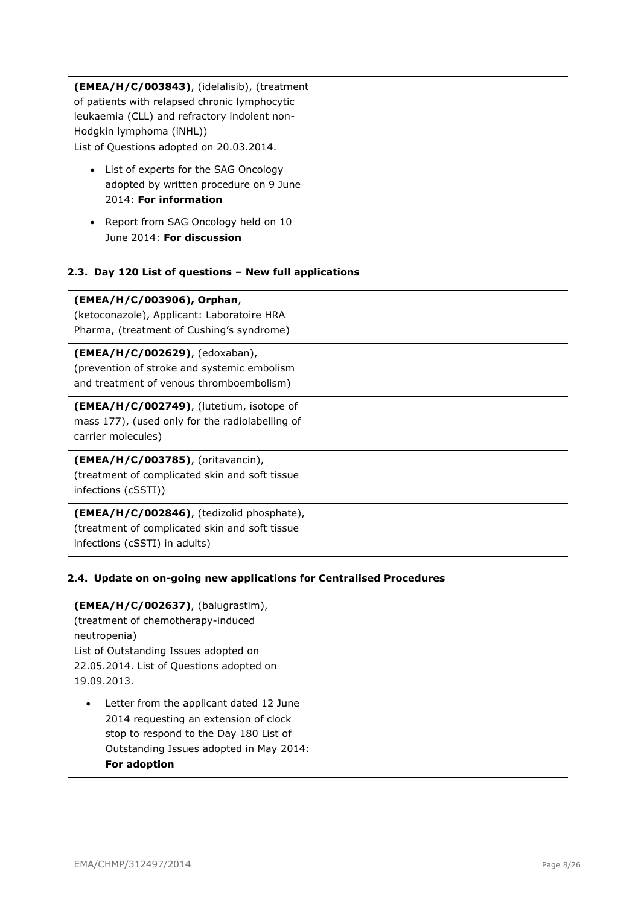**(EMEA/H/C/003843)**, (idelalisib), (treatment of patients with relapsed chronic lymphocytic leukaemia (CLL) and refractory indolent non-Hodgkin lymphoma (iNHL)) List of Questions adopted on 20.03.2014.

- List of experts for the SAG Oncology adopted by written procedure on 9 June 2014: **For information**
- Report from SAG Oncology held on 10 June 2014: **For discussion**

### <span id="page-7-0"></span>**2.3. Day 120 List of questions – New full applications**

#### **(EMEA/H/C/003906), Orphan**,

(ketoconazole), Applicant: Laboratoire HRA Pharma, (treatment of Cushing's syndrome)

#### **(EMEA/H/C/002629)**, (edoxaban),

(prevention of stroke and systemic embolism and treatment of venous thromboembolism)

**(EMEA/H/C/002749)**, (lutetium, isotope of mass 177), (used only for the radiolabelling of carrier molecules)

### **(EMEA/H/C/003785)**, (oritavancin),

(treatment of complicated skin and soft tissue infections (cSSTI))

**(EMEA/H/C/002846)**, (tedizolid phosphate), (treatment of complicated skin and soft tissue infections (cSSTI) in adults)

#### <span id="page-7-1"></span>**2.4. Update on on-going new applications for Centralised Procedures**

**(EMEA/H/C/002637)**, (balugrastim), (treatment of chemotherapy-induced neutropenia) List of Outstanding Issues adopted on 22.05.2014. List of Questions adopted on 19.09.2013.

 Letter from the applicant dated 12 June 2014 requesting an extension of clock stop to respond to the Day 180 List of Outstanding Issues adopted in May 2014: **For adoption**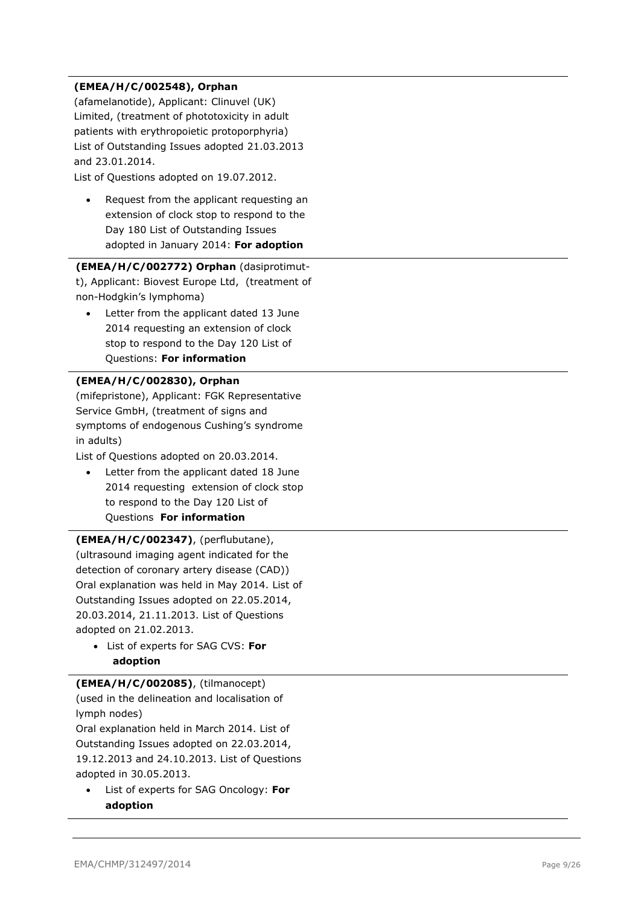## **(EMEA/H/C/002548), Orphan**

(afamelanotide), Applicant: Clinuvel (UK) Limited, (treatment of phototoxicity in adult patients with erythropoietic protoporphyria ) List of Outstanding Issues adopted 21.03.2013 and 23.01.2014 .

List of Questions adopted on 19.07.2012.

• Request from the applicant requesting an extension of clock stop to respond to the Day 180 List of Outstanding Issues adopted in January 2014: **For adoption**

## **(EMEA/H/C/002772) Orphan** (dasiprotimut t), Applicant: Biovest Europe Ltd, (treatment of non -Hodgkin's lymphoma)

 Letter from the applicant dated 13 June 2014 requesting an extension of clock stop to respond to the Day 120 List of Questions: **For information**

## **(EMEA/H/C/002830), Orphan**

(mifepristone), Applicant: FGK Representative Service GmbH, (treatment of signs and symptoms of endogenous Cushing's syndrome in adults)

List of Questions adopted on 20.03.2014.

 Letter from the applicant dated 18 June 2014 requesting extension of clock stop to respond to the Day 120 List of Questions **For information**

**(EMEA/H/C/002347)**, (perflubutane), (ultrasound imaging agent indicated for the detection of coronary artery disease (CAD)) Oral explanation was held in May 2014. List of Outstanding Issues adopted on 22.05.2014, 20.03.2014, 21.11.2013. List of Questions adopted on 21.02.2013.

 List of experts for SAG CVS : **For adoption**

## **(EMEA/H/C/002085)**, (tilmanocept) (used in the delineation and localisation of

lymph nodes) Oral explanation held in March 2014. List of Outstanding Issues adopted on 22.03.2014, 19.12.2013 and 24.10.2013. List of Questions

adopted in 30.05.2013. List of experts for SAG Oncology: **For** 

**adoption**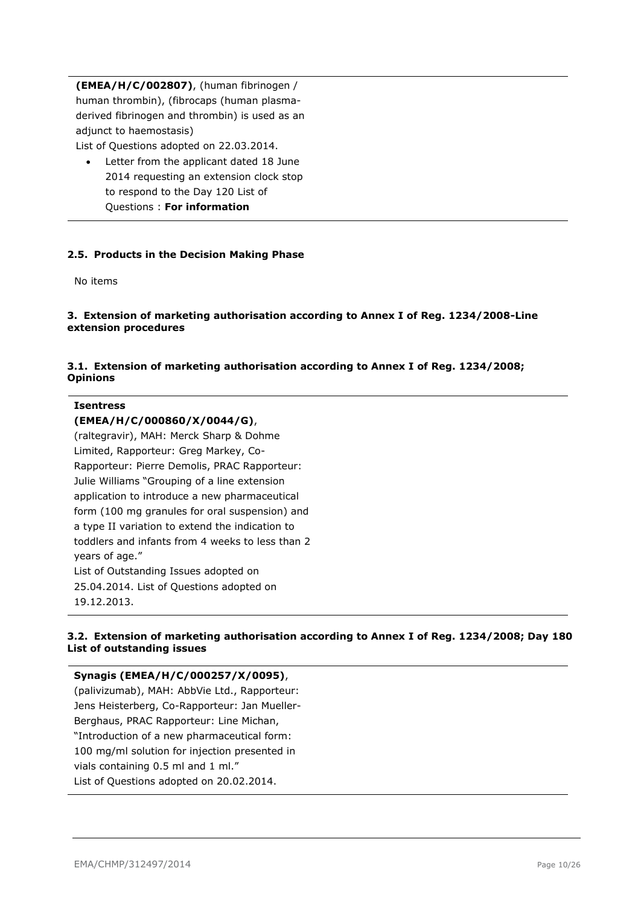**(EMEA/H/C/002807)**, (human fibrinogen / human thrombin), (fibrocaps (human plasmaderived fibrinogen and thrombin) is used as an adjunct to haemostasis)

List of Questions adopted on 22.03.2014.

 Letter from the applicant dated 18 June 2014 requesting an extension clock stop to respond to the Day 120 List of Questions : **For information**

## <span id="page-9-0"></span>**2.5. Products in the Decision Making Phase**

No items

### <span id="page-9-1"></span>**3. Extension of marketing authorisation according to Annex I of Reg. 1234/2008-Line extension procedures**

### <span id="page-9-2"></span>**3.1. Extension of marketing authorisation according to Annex I of Reg. 1234/2008; Opinions**

#### **Isentress**

### **(EMEA/H/C/000860/X/0044/G)**,

(raltegravir), MAH: Merck Sharp & Dohme Limited, Rapporteur: Greg Markey, Co-Rapporteur: Pierre Demolis, PRAC Rapporteur: Julie Williams "Grouping of a line extension application to introduce a new pharmaceutical form (100 mg granules for oral suspension) and a type II variation to extend the indication to toddlers and infants from 4 weeks to less than 2 years of age." List of Outstanding Issues adopted on 25.04.2014. List of Questions adopted on 19.12.2013.

## <span id="page-9-3"></span>**3.2. Extension of marketing authorisation according to Annex I of Reg. 1234/2008; Day 180 List of outstanding issues**

## **Synagis (EMEA/H/C/000257/X/0095)**,

(palivizumab), MAH: AbbVie Ltd., Rapporteur: Jens Heisterberg, Co-Rapporteur: Jan Mueller-Berghaus, PRAC Rapporteur: Line Michan, "Introduction of a new pharmaceutical form: 100 mg/ml solution for injection presented in vials containing 0.5 ml and 1 ml." List of Questions adopted on 20.02.2014.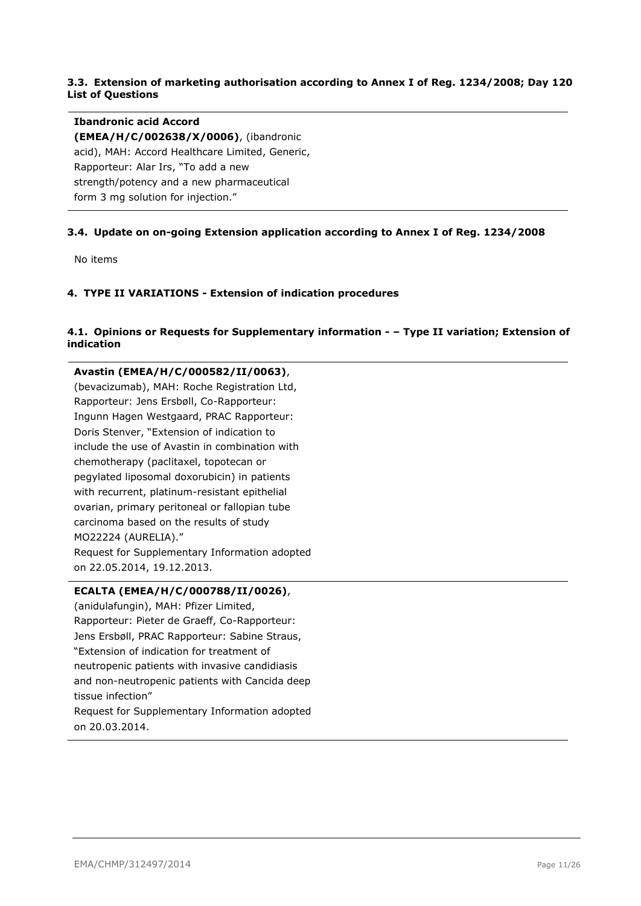## <span id="page-10-0"></span>**3.3. Extension of marketing authorisation according to Annex I of Reg. 1234/2008; Day 120 List of Questions**

### **Ibandronic acid Accord**

**(EMEA/H/C/002638/X/0006)**, (ibandronic acid), MAH: Accord Healthcare Limited, Generic, Rapporteur: Alar Irs, "To add a new strength/potency and a new pharmaceutical form 3 mg solution for injection."

## <span id="page-10-1"></span>**3.4. Update on on-going Extension application according to Annex I of Reg. 1234/2008**

No items

### <span id="page-10-2"></span>**4. TYPE II VARIATIONS - Extension of indication procedures**

## <span id="page-10-3"></span>**4.1. Opinions or Requests for Supplementary information - – Type II variation; Extension of indication**

**Avastin (EMEA/H/C/000582/II/0063)**, (bevacizumab), MAH: Roche Registration Ltd, Rapporteur: Jens Ersbøll, Co-Rapporteur: Ingunn Hagen Westgaard, PRAC Rapporteur: Doris Stenver, "Extension of indication to include the use of Avastin in combination with chemotherapy (paclitaxel, topotecan or pegylated liposomal doxorubicin) in patients with recurrent, platinum-resistant epithelial ovarian, primary peritoneal or fallopian tube carcinoma based on the results of study MO22224 (AURELIA)." Request for Supplementary Information adopted on 22.05.2014, 19.12.2013.

#### **ECALTA (EMEA/H/C/000788/II/0026)**,

(anidulafungin), MAH: Pfizer Limited, Rapporteur: Pieter de Graeff, Co-Rapporteur: Jens Ersbøll, PRAC Rapporteur: Sabine Straus, "Extension of indication for treatment of neutropenic patients with invasive candidiasis and non-neutropenic patients with Cancida deep tissue infection" Request for Supplementary Information adopted on 20.03.2014.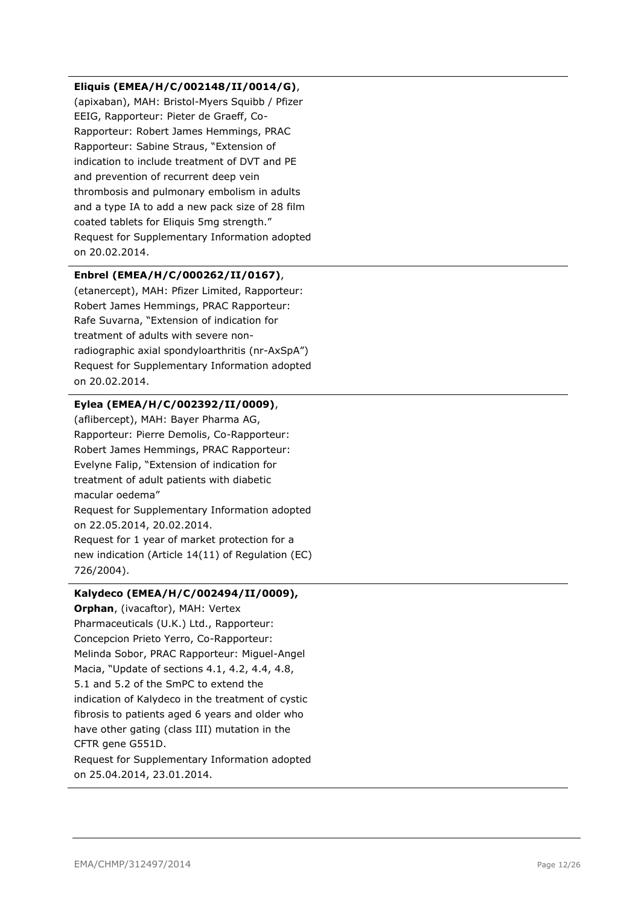### **Eliquis (EMEA/H/C/002148/II/0014/G)**,

(apixaban), MAH: Bristol-Myers Squibb / Pfizer EEIG, Rapporteur: Pieter de Graeff, Co-Rapporteur: Robert James Hemmings, PRAC Rapporteur: Sabine Straus, "Extension of indication to include treatment of DVT and PE and prevention of recurrent deep vein thrombosis and pulmonary embolism in adults and a type IA to add a new pack size of 28 film coated tablets for Eliquis 5mg strength." Request for Supplementary Information adopted on 20.02.2014.

## **Enbrel (EMEA/H/C/000262/II/0167)**,

(etanercept), MAH: Pfizer Limited, Rapporteur: Robert James Hemmings, PRAC Rapporteur: Rafe Suvarna, "Extension of indication for treatment of adults with severe nonradiographic axial spondyloarthritis (nr-AxSpA") Request for Supplementary Information adopted on 20.02.2014.

## **Eylea (EMEA/H/C/002392/II/0009)**,

(aflibercept), MAH: Bayer Pharma AG, Rapporteur: Pierre Demolis, Co-Rapporteur: Robert James Hemmings, PRAC Rapporteur: Evelyne Falip, "Extension of indication for treatment of adult patients with diabetic macular oedema" Request for Supplementary Information adopted on 22.05.2014, 20.02.2014. Request for 1 year of market protection for a new indication (Article 14(11) of Regulation (EC) 726/2004).

## **Kalydeco (EMEA/H/C/002494/II/0009),**

**Orphan**, (ivacaftor), MAH: Vertex Pharmaceuticals (U.K.) Ltd., Rapporteur: Concepcion Prieto Yerro, Co-Rapporteur: Melinda Sobor, PRAC Rapporteur: Miguel-Angel Macia, "Update of sections 4.1, 4.2, 4.4, 4.8, 5.1 and 5.2 of the SmPC to extend the indication of Kalydeco in the treatment of cystic fibrosis to patients aged 6 years and older who have other gating (class III) mutation in the CFTR gene G551D. Request for Supplementary Information adopted

on 25.04.2014, 23.01.2014.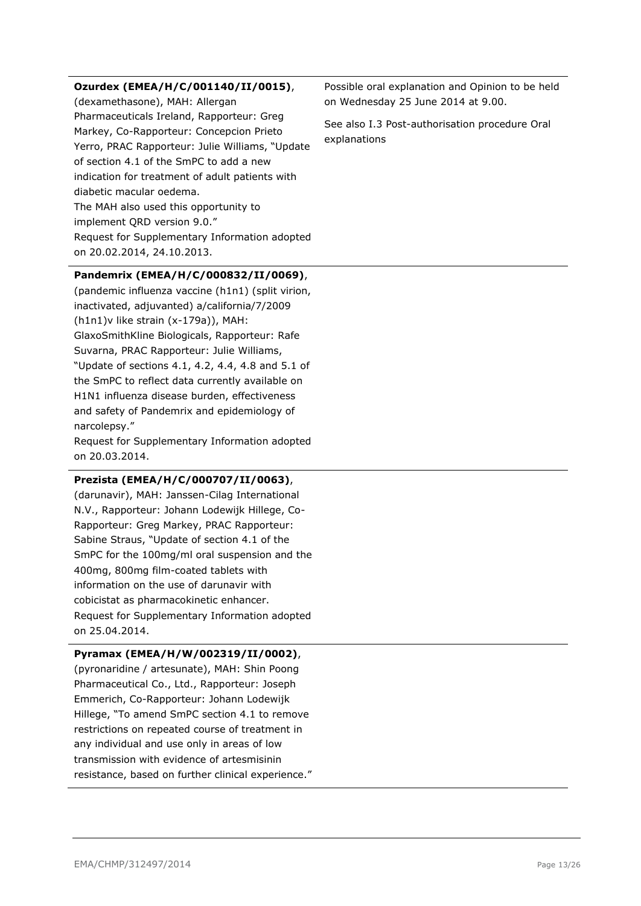#### **Ozurdex (EMEA/H/C/001140/II/0015)**,

(dexamethasone), MAH: Allergan Pharmaceuticals Ireland, Rapporteur: Greg Markey, Co-Rapporteur: Concepcion Prieto Yerro, PRAC Rapporteur: Julie Williams, "Update of section 4.1 of the SmPC to add a new indication for treatment of adult patients with diabetic macular oedema. The MAH also used this opportunity to implement QRD version 9.0." Request for Supplementary Information adopted on 20.02.2014, 24.10.2013.

### **Pandemrix (EMEA/H/C/000832/II/0069)**,

(pandemic influenza vaccine (h1n1) (split virion, inactivated, adjuvanted) a/california/7/2009 (h1n1)v like strain (x-179a)), MAH: GlaxoSmithKline Biologicals, Rapporteur: Rafe Suvarna, PRAC Rapporteur: Julie Williams, "Update of sections 4.1, 4.2, 4.4, 4.8 and 5.1 of the SmPC to reflect data currently available on H1N1 influenza disease burden, effectiveness and safety of Pandemrix and epidemiology of narcolepsy."

Request for Supplementary Information adopted on 20.03.2014.

#### **Prezista (EMEA/H/C/000707/II/0063)**,

(darunavir), MAH: Janssen-Cilag International N.V., Rapporteur: Johann Lodewijk Hillege, Co-Rapporteur: Greg Markey, PRAC Rapporteur: Sabine Straus, "Update of section 4.1 of the SmPC for the 100mg/ml oral suspension and the 400mg, 800mg film-coated tablets with information on the use of darunavir with cobicistat as pharmacokinetic enhancer. Request for Supplementary Information adopted on 25.04.2014.

#### **Pyramax (EMEA/H/W/002319/II/0002)**,

(pyronaridine / artesunate), MAH: Shin Poong Pharmaceutical Co., Ltd., Rapporteur: Joseph Emmerich, Co-Rapporteur: Johann Lodewijk Hillege, "To amend SmPC section 4.1 to remove restrictions on repeated course of treatment in any individual and use only in areas of low transmission with evidence of artesmisinin resistance, based on further clinical experience." Possible oral explanation and Opinion to be held on Wednesday 25 June 2014 at 9.00.

See also I.3 Post-authorisation procedure Oral explanations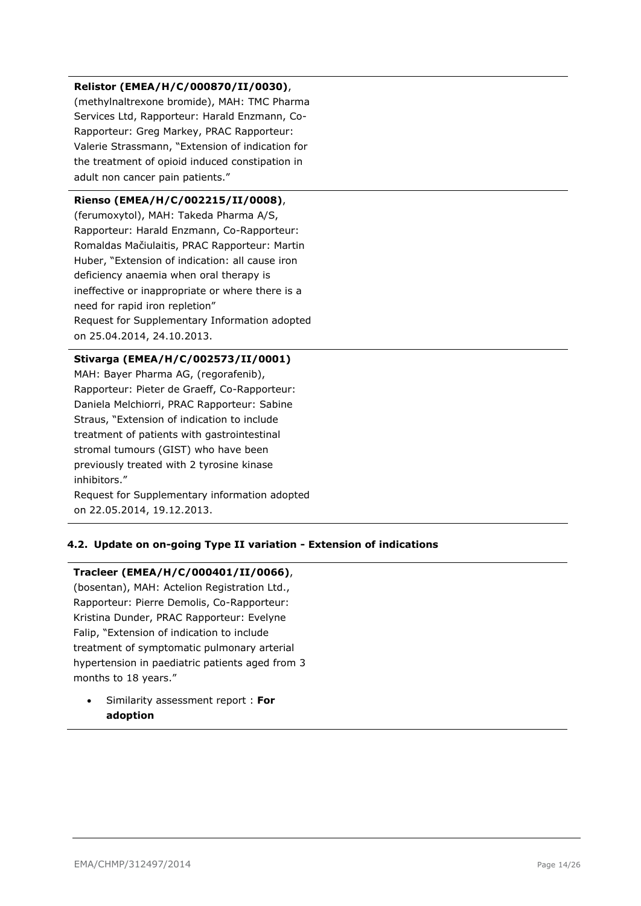## **Relistor (EMEA/H/C/000870/II/0030)**,

(methylnaltrexone bromide), MAH: TMC Pharma Services Ltd, Rapporteur: Harald Enzmann, Co-Rapporteur: Greg Markey, PRAC Rapporteur: Valerie Strassmann, "Extension of indication for the treatment of opioid induced constipation in adult non cancer pain patients."

## **Rienso (EMEA/H/C/002215/II/0008)**,

(ferumoxytol), MAH: Takeda Pharma A/S, Rapporteur: Harald Enzmann, Co-Rapporteur: Romaldas Mačiulaitis, PRAC Rapporteur: Martin Huber, "Extension of indication: all cause iron deficiency anaemia when oral therapy is ineffective or inappropriate or where there is a need for rapid iron repletion" Request for Supplementary Information adopted on 25.04.2014, 24.10.2013.

## **Stivarga (EMEA/H/C/002573/II/0001)**

MAH: Bayer Pharma AG, (regorafenib), Rapporteur: Pieter de Graeff, Co-Rapporteur: Daniela Melchiorri, PRAC Rapporteur: Sabine Straus, "Extension of indication to include treatment of patients with gastrointestinal stromal tumours (GIST) who have been previously treated with 2 tyrosine kinase inhibitors."

Request for Supplementary information adopted on 22.05.2014, 19.12.2013.

## <span id="page-13-0"></span>**4.2. Update on on-going Type II variation - Extension of indications**

#### **Tracleer (EMEA/H/C/000401/II/0066)**,

(bosentan), MAH: Actelion Registration Ltd., Rapporteur: Pierre Demolis, Co-Rapporteur: Kristina Dunder, PRAC Rapporteur: Evelyne Falip, "Extension of indication to include treatment of symptomatic pulmonary arterial hypertension in paediatric patients aged from 3 months to 18 years."

 Similarity assessment report : **For adoption**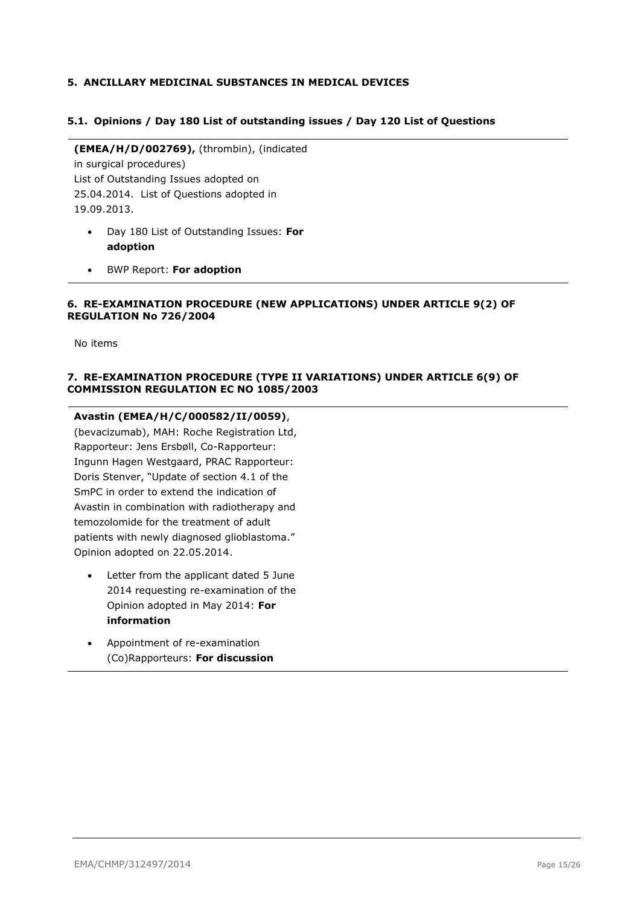### <span id="page-14-0"></span>**5. ANCILLARY MEDICINAL SUBSTANCES IN MEDICAL DEVICES**

#### <span id="page-14-1"></span>**5.1. Opinions / Day 180 List of outstanding issues / Day 120 List of Questions**

**(EMEA/H/D/002769),** (thrombin), (indicated in surgical procedures) List of Outstanding Issues adopted on 25.04.2014. List of Questions adopted in 19.09.2013.

- Day 180 List of Outstanding Issues: **For adoption**
- BWP Report: **For adoption**

#### <span id="page-14-2"></span>**6. RE-EXAMINATION PROCEDURE (NEW APPLICATIONS) UNDER ARTICLE 9(2) OF REGULATION No 726/2004**

No items

### <span id="page-14-3"></span>**7. RE-EXAMINATION PROCEDURE (TYPE II VARIATIONS) UNDER ARTICLE 6(9) OF COMMISSION REGULATION EC NO 1085/2003**

**Avastin (EMEA/H/C/000582/II/0059)**, (bevacizumab), MAH: Roche Registration Ltd, Rapporteur: Jens Ersbøll, Co-Rapporteur: Ingunn Hagen Westgaard, PRAC Rapporteur: Doris Stenver, "Update of section 4.1 of the SmPC in order to extend the indication of Avastin in combination with radiotherapy and temozolomide for the treatment of adult patients with newly diagnosed glioblastoma." Opinion adopted on 22.05.2014.

- Letter from the applicant dated 5 June 2014 requesting re-examination of the Opinion adopted in May 2014: **For information**
- Appointment of re-examination (Co)Rapporteurs: **For discussion**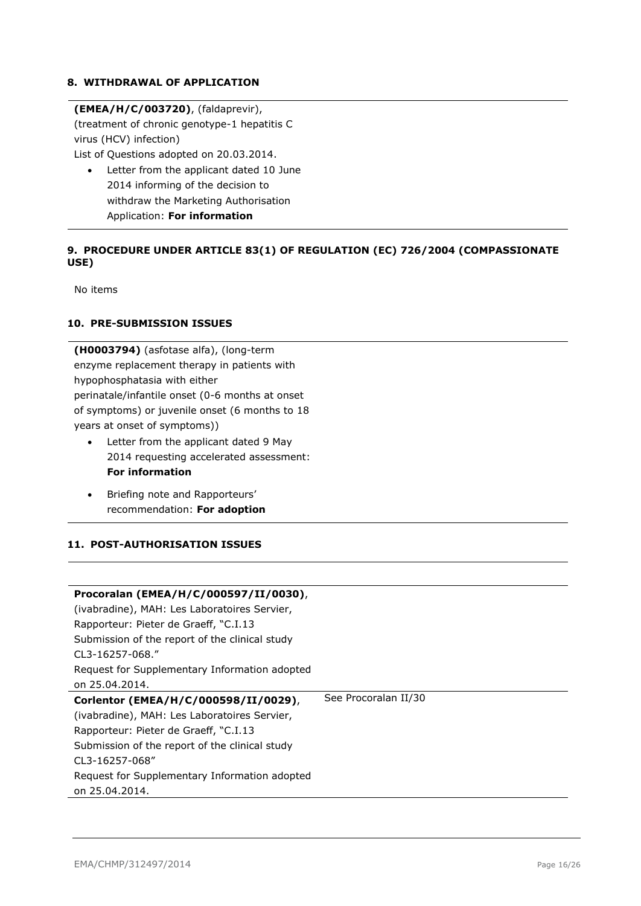### <span id="page-15-0"></span>**8. WITHDRAWAL OF APPLICATION**

### **(EMEA/H/C/003720)**, (faldaprevir),

(treatment of chronic genotype-1 hepatitis C virus (HCV) infection)

List of Questions adopted on 20.03.2014.

 Letter from the applicant dated 10 June 2014 informing of the decision to withdraw the Marketing Authorisation Application: **For information**

## <span id="page-15-1"></span>**9. PROCEDURE UNDER ARTICLE 83(1) OF REGULATION (EC) 726/2004 (COMPASSIONATE USE)**

No items

## <span id="page-15-2"></span>**10. PRE-SUBMISSION ISSUES**

**(H0003794)** (asfotase alfa), (long-term enzyme replacement therapy in patients with hypophosphatasia with either perinatale/infantile onset (0-6 months at onset of symptoms) or juvenile onset (6 months to 18 years at onset of symptoms))

- Letter from the applicant dated 9 May 2014 requesting accelerated assessment: **For information**
- Briefing note and Rapporteurs' recommendation: **For adoption**

## <span id="page-15-3"></span>**11. POST-AUTHORISATION ISSUES**

| Procoralan (EMEA/H/C/000597/II/0030),          |                      |
|------------------------------------------------|----------------------|
| (ivabradine), MAH: Les Laboratoires Servier,   |                      |
| Rapporteur: Pieter de Graeff, "C.I.13          |                      |
| Submission of the report of the clinical study |                      |
| CL3-16257-068."                                |                      |
| Request for Supplementary Information adopted  |                      |
| on 25.04.2014.                                 |                      |
|                                                |                      |
| Corlentor (EMEA/H/C/000598/II/0029),           | See Procoralan II/30 |
| (ivabradine), MAH: Les Laboratoires Servier,   |                      |
| Rapporteur: Pieter de Graeff, "C.I.13          |                      |
| Submission of the report of the clinical study |                      |
| CL3-16257-068"                                 |                      |
| Request for Supplementary Information adopted  |                      |
| on 25.04.2014.                                 |                      |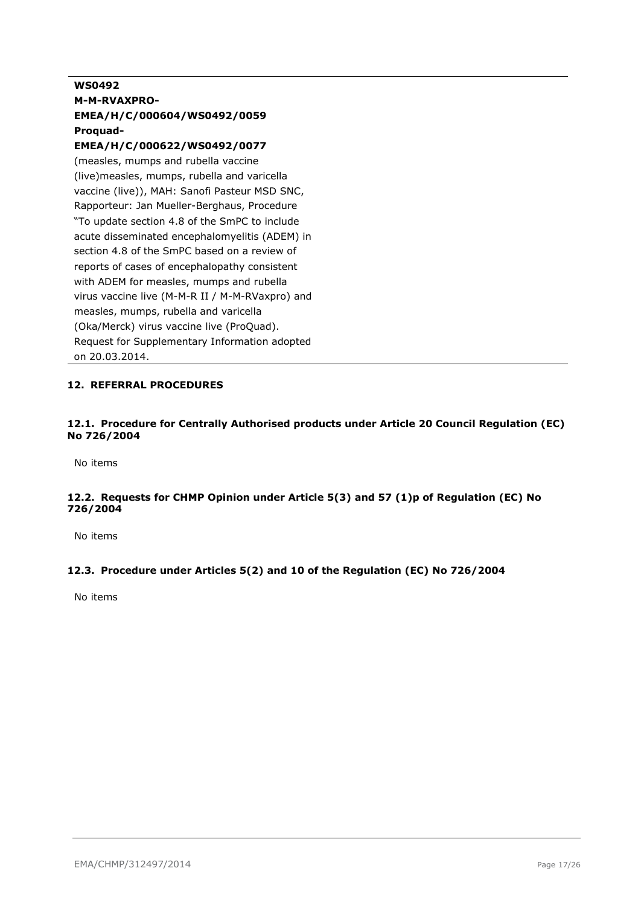## **WS0492 M-M-RVAXPRO-EMEA/H/C/000604/WS0492/0059 Proquad-**

## **EMEA/H/C/000622/WS0492/0077**

(measles, mumps and rubella vaccine (live)measles, mumps, rubella and varicella vaccine (live)), MAH: Sanofi Pasteur MSD SNC, Rapporteur: Jan Mueller-Berghaus, Procedure "To update section 4.8 of the SmPC to include acute disseminated encephalomyelitis (ADEM) in section 4.8 of the SmPC based on a review of reports of cases of encephalopathy consistent with ADEM for measles, mumps and rubella virus vaccine live (M-M-R II / M-M-RVaxpro) and measles, mumps, rubella and varicella (Oka/Merck) virus vaccine live (ProQuad). Request for Supplementary Information adopted on 20.03.2014.

## <span id="page-16-0"></span>**12. REFERRAL PROCEDURES**

## <span id="page-16-1"></span>**12.1. Procedure for Centrally Authorised products under Article 20 Council Regulation (EC) No 726/2004**

No items

## <span id="page-16-2"></span>**12.2. Requests for CHMP Opinion under Article 5(3) and 57 (1)p of Regulation (EC) No 726/2004**

No items

## <span id="page-16-3"></span>**12.3. Procedure under Articles 5(2) and 10 of the Regulation (EC) No 726/2004**

No items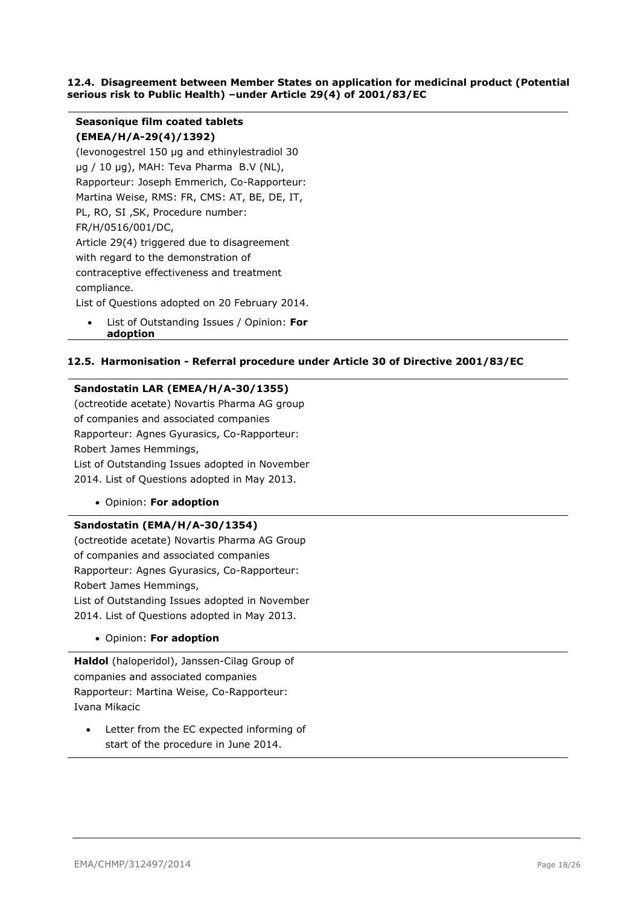#### <span id="page-17-0"></span>**12.4. Disagreement between Member States on application for medicinal product (Potential serious risk to Public Health) –under Article 29(4) of 2001/83/EC**

## **Seasonique film coated tablets (EMEA/H/A-29(4)/1392)**

(levonogestrel 150 µg and ethinylestradiol 30 µg / 10 µg), MAH: Teva Pharma B.V (NL), Rapporteur: Joseph Emmerich, Co-Rapporteur: Martina Weise, RMS: FR, CMS: AT, BE, DE, IT, PL, RO, SI ,SK, Procedure number: FR/H/0516/001/DC, Article 29(4) triggered due to disagreement with regard to the demonstration of contraceptive effectiveness and treatment compliance.

List of Questions adopted on 20 February 2014.

 List of Outstanding Issues / Opinion: **For adoption**

### <span id="page-17-1"></span>**12.5. Harmonisation - Referral procedure under Article 30 of Directive 2001/83/EC**

#### **Sandostatin LAR (EMEA/H/A-30/1355)**

(octreotide acetate) Novartis Pharma AG group of companies and associated companies Rapporteur: Agnes Gyurasics, Co-Rapporteur: Robert James Hemmings, List of Outstanding Issues adopted in November 2014. List of Questions adopted in May 2013.

Opinion: **For adoption**

#### **Sandostatin (EMA/H/A-30/1354)**

(octreotide acetate) Novartis Pharma AG Group of companies and associated companies Rapporteur: Agnes Gyurasics, Co-Rapporteur: Robert James Hemmings, List of Outstanding Issues adopted in November 2014. List of Questions adopted in May 2013.

Opinion: **For adoption**

**Haldol** (haloperidol), Janssen-Cilag Group of companies and associated companies Rapporteur: Martina Weise, Co-Rapporteur: Ivana Mikacic

 Letter from the EC expected informing of start of the procedure in June 2014.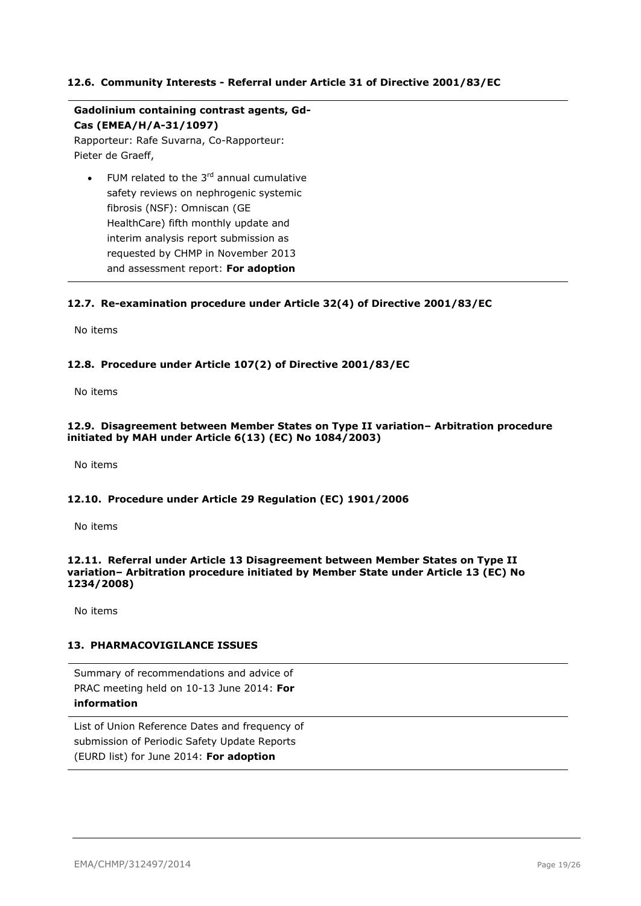### <span id="page-18-0"></span>**12.6. Community Interests - Referral under Article 31 of Directive 2001/83/EC**

**Gadolinium containing contrast agents, Gd-Cas (EMEA/H/A-31/1097)** Rapporteur: Rafe Suvarna, Co-Rapporteur:

Pieter de Graeff,

FUM related to the  $3<sup>rd</sup>$  annual cumulative safety reviews on nephrogenic systemic fibrosis (NSF): Omniscan (GE HealthCare) fifth monthly update and interim analysis report submission as requested by CHMP in November 2013 and assessment report: **For adoption**

#### <span id="page-18-1"></span>**12.7. Re-examination procedure under Article 32(4) of Directive 2001/83/EC**

No items

#### <span id="page-18-2"></span>**12.8. Procedure under Article 107(2) of Directive 2001/83/EC**

No items

#### <span id="page-18-3"></span>**12.9. Disagreement between Member States on Type II variation– Arbitration procedure initiated by MAH under Article 6(13) (EC) No 1084/2003)**

No items

#### <span id="page-18-4"></span>**12.10. Procedure under Article 29 Regulation (EC) 1901/2006**

No items

#### <span id="page-18-5"></span>**12.11. Referral under Article 13 Disagreement between Member States on Type II variation– Arbitration procedure initiated by Member State under Article 13 (EC) No 1234/2008)**

No items

#### <span id="page-18-6"></span>**13. PHARMACOVIGILANCE ISSUES**

Summary of recommendations and advice of PRAC meeting held on 10-13 June 2014: **For information**

List of Union Reference Dates and frequency of submission of Periodic Safety Update Reports (EURD list) for June 2014: **For adoption**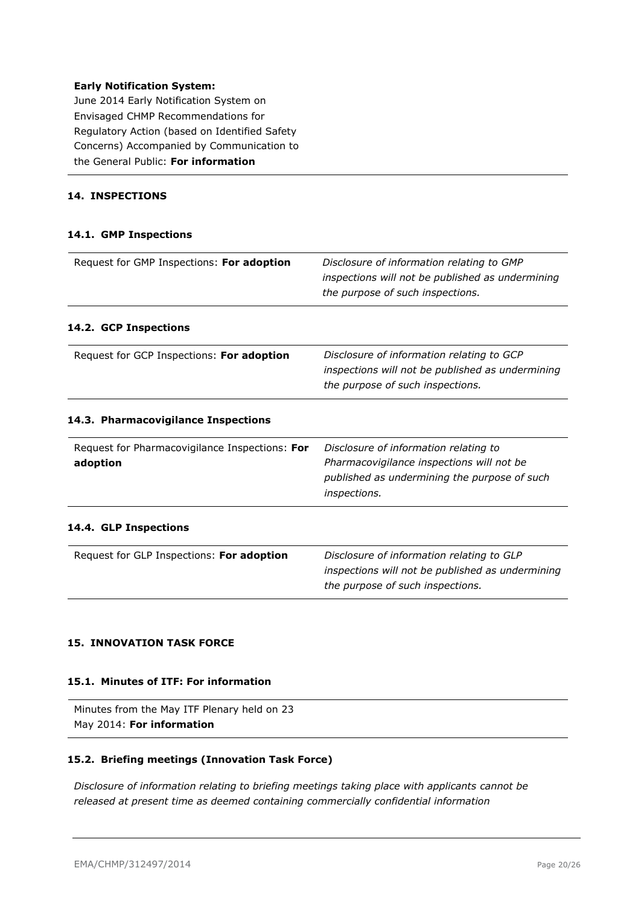#### **Early Notification System:**

June 2014 Early Notification System on Envisaged CHMP Recommendations for Regulatory Action (based on Identified Safety Concerns) Accompanied by Communication to the General Public: **For information**

## <span id="page-19-0"></span>**14. INSPECTIONS**

#### <span id="page-19-1"></span>**14.1. GMP Inspections**

<span id="page-19-3"></span><span id="page-19-2"></span>

| Request for GMP Inspections: For adoption                  | Disclosure of information relating to GMP<br>inspections will not be published as undermining<br>the purpose of such inspections.                  |
|------------------------------------------------------------|----------------------------------------------------------------------------------------------------------------------------------------------------|
| 14.2. GCP Inspections                                      |                                                                                                                                                    |
| Request for GCP Inspections: For adoption                  | Disclosure of information relating to GCP<br>inspections will not be published as undermining<br>the purpose of such inspections.                  |
| 14.3. Pharmacovigilance Inspections                        |                                                                                                                                                    |
| Request for Pharmacovigilance Inspections: For<br>adoption | Disclosure of information relating to<br>Pharmacovigilance inspections will not be<br>published as undermining the purpose of such<br>inspections. |
| 14.4. GLP Inspections                                      |                                                                                                                                                    |
| Request for GLP Inspections: For adoption                  | Disclosure of information relating to GLP<br>inspections will not be published as undermining<br>the purpose of such inspections.                  |

#### <span id="page-19-5"></span><span id="page-19-4"></span>**15. INNOVATION TASK FORCE**

#### <span id="page-19-6"></span>**15.1. Minutes of ITF: For information**

```
Minutes from the May ITF Plenary held on 23 
May 2014: For information
```
### <span id="page-19-7"></span>**15.2. Briefing meetings (Innovation Task Force)**

*Disclosure of information relating to briefing meetings taking place with applicants cannot be released at present time as deemed containing commercially confidential information*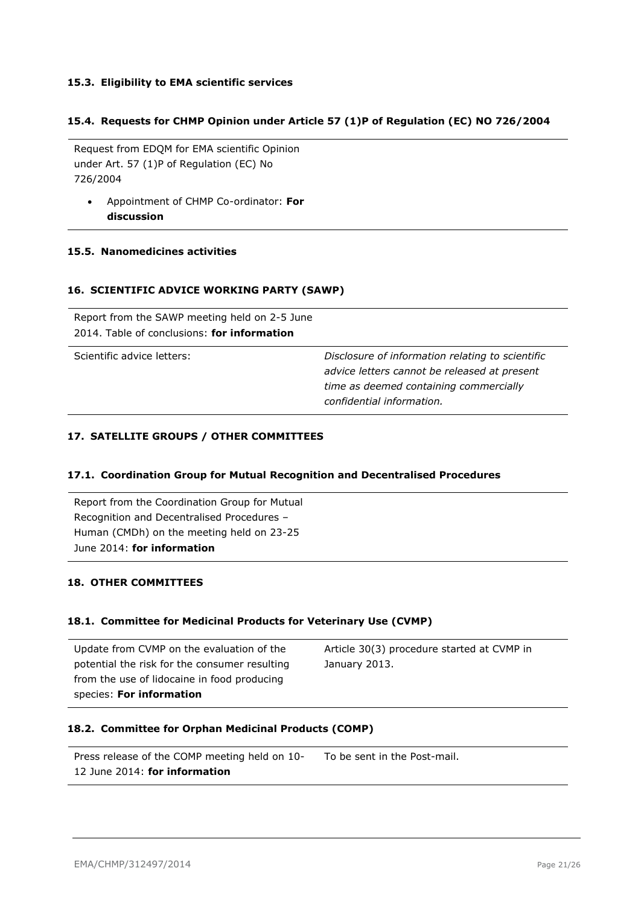## <span id="page-20-0"></span>**15.3. Eligibility to EMA scientific services**

## <span id="page-20-1"></span>**15.4. Requests for CHMP Opinion under Article 57 (1)P of Regulation (EC) NO 726/2004**

Request from EDQM for EMA scientific Opinion under Art. 57 (1)P of Regulation (EC) No 726/2004

 Appointment of CHMP Co-ordinator: **For discussion**

### <span id="page-20-2"></span>**15.5. Nanomedicines activities**

#### <span id="page-20-3"></span>**16. SCIENTIFIC ADVICE WORKING PARTY (SAWP)**

| Report from the SAWP meeting held on 2-5 June<br>2014. Table of conclusions: for information |                                                                                                                                                                         |
|----------------------------------------------------------------------------------------------|-------------------------------------------------------------------------------------------------------------------------------------------------------------------------|
| Scientific advice letters:                                                                   | Disclosure of information relating to scientific<br>advice letters cannot be released at present<br>time as deemed containing commercially<br>confidential information. |

## <span id="page-20-4"></span>**17. SATELLITE GROUPS / OTHER COMMITTEES**

#### <span id="page-20-5"></span>**17.1. Coordination Group for Mutual Recognition and Decentralised Procedures**

Report from the Coordination Group for Mutual Recognition and Decentralised Procedures – Human (CMDh) on the meeting held on 23-25 June 2014: **for information**

### <span id="page-20-6"></span>**18. OTHER COMMITTEES**

#### <span id="page-20-7"></span>**18.1. Committee for Medicinal Products for Veterinary Use (CVMP)**

| Update from CVMP on the evaluation of the     | Article 30(3) procedure started at CVMP in |
|-----------------------------------------------|--------------------------------------------|
| potential the risk for the consumer resulting | January 2013.                              |
| from the use of lidocaine in food producing   |                                            |
| species: For information                      |                                            |

## <span id="page-20-8"></span>**18.2. Committee for Orphan Medicinal Products (COMP)**

| Press release of the COMP meeting held on 10- | To be sent in the Post-mail. |
|-----------------------------------------------|------------------------------|
| 12 June 2014: for information                 |                              |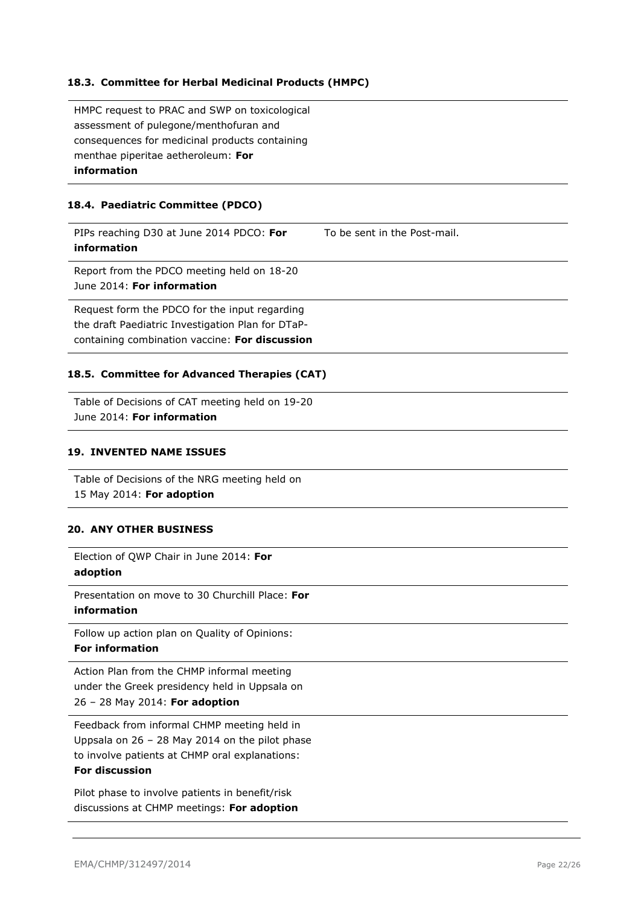## <span id="page-21-0"></span>**18.3. Committee for Herbal Medicinal Products (HMPC)**

HMPC request to PRAC and SWP on toxicological assessment of pulegone/menthofuran and consequences for medicinal products containing menthae piperitae aetheroleum: **For information**

## <span id="page-21-1"></span>**18.4. Paediatric Committee (PDCO)**

PIPs reaching D30 at June 2014 PDCO: **For information** To be sent in the Post-mail. Report from the PDCO meeting held on 18-20 June 2014: **For information** Request form the PDCO for the input regarding

the draft Paediatric Investigation Plan for DTaPcontaining combination vaccine: **For discussion**

### <span id="page-21-2"></span>**18.5. Committee for Advanced Therapies (CAT)**

Table of Decisions of CAT meeting held on 19-20 June 2014: **For information**

## <span id="page-21-3"></span>**19. INVENTED NAME ISSUES**

Table of Decisions of the NRG meeting held on 15 May 2014: **For adoption**

## <span id="page-21-4"></span>**20. ANY OTHER BUSINESS**

Election of QWP Chair in June 2014: **For adoption**

Presentation on move to 30 Churchill Place: **For information**

Follow up action plan on Quality of Opinions:

## **For information**

Action Plan from the CHMP informal meeting under the Greek presidency held in Uppsala on 26 – 28 May 2014: **For adoption**

Feedback from informal CHMP meeting held in Uppsala on 26 – 28 May 2014 on the pilot phase to involve patients at CHMP oral explanations:

#### **For discussion**

Pilot phase to involve patients in benefit/risk discussions at CHMP meetings: **For adoption**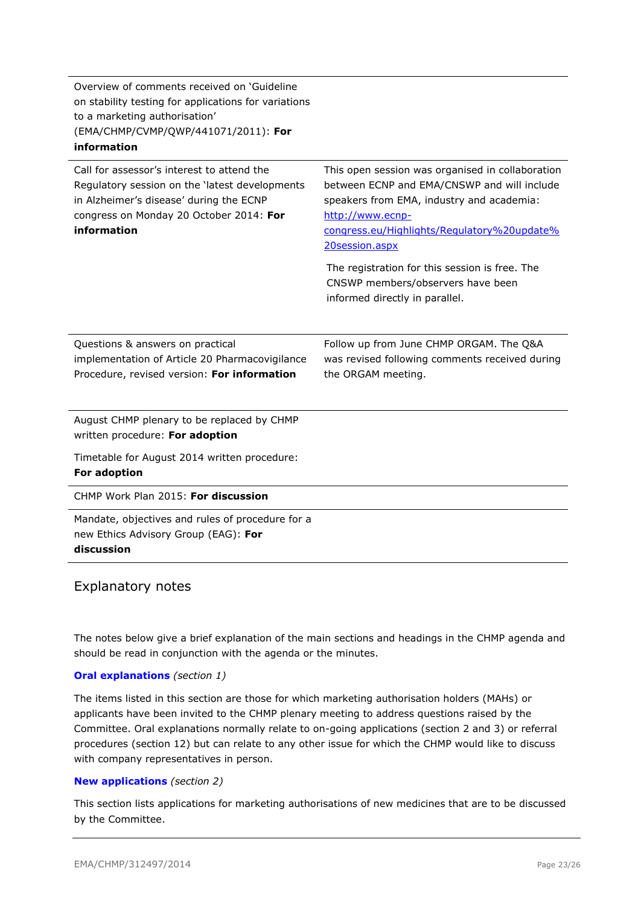| Overview of comments received on 'Guideline<br>on stability testing for applications for variations<br>to a marketing authorisation'<br>(EMA/CHMP/CVMP/QWP/441071/2011): For<br>information       |                                                                                                                                                                                                                                                                                                                                                            |
|---------------------------------------------------------------------------------------------------------------------------------------------------------------------------------------------------|------------------------------------------------------------------------------------------------------------------------------------------------------------------------------------------------------------------------------------------------------------------------------------------------------------------------------------------------------------|
| Call for assessor's interest to attend the<br>Regulatory session on the 'latest developments<br>in Alzheimer's disease' during the ECNP<br>congress on Monday 20 October 2014: For<br>information | This open session was organised in collaboration<br>between ECNP and EMA/CNSWP and will include<br>speakers from EMA, industry and academia:<br>http://www.ecnp-<br>congress.eu/Highlights/Regulatory%20update%<br>20session.aspx<br>The registration for this session is free. The<br>CNSWP members/observers have been<br>informed directly in parallel. |
| Questions & answers on practical<br>implementation of Article 20 Pharmacovigilance<br>Procedure, revised version: For information                                                                 | Follow up from June CHMP ORGAM. The Q&A<br>was revised following comments received during<br>the ORGAM meeting.                                                                                                                                                                                                                                            |
| August CHMP plenary to be replaced by CHMP<br>written procedure: For adoption<br>Timetable for August 2014 written procedure:<br>For adoption                                                     |                                                                                                                                                                                                                                                                                                                                                            |
| CHMP Work Plan 2015: For discussion                                                                                                                                                               |                                                                                                                                                                                                                                                                                                                                                            |
| Mandate, objectives and rules of procedure for a<br>new Ethics Advisory Group (EAG): For<br>discussion                                                                                            |                                                                                                                                                                                                                                                                                                                                                            |

## Explanatory notes

The notes below give a brief explanation of the main sections and headings in the CHMP agenda and should be read in conjunction with the agenda or the minutes.

#### **Oral explanations** *(section 1)*

The items listed in this section are those for which marketing authorisation holders (MAHs) or applicants have been invited to the CHMP plenary meeting to address questions raised by the Committee. Oral explanations normally relate to on-going applications (section 2 and 3) or referral procedures (section 12) but can relate to any other issue for which the CHMP would like to discuss with company representatives in person.

#### **New applications** *(section 2)*

This section lists applications for marketing authorisations of new medicines that are to be discussed by the Committee.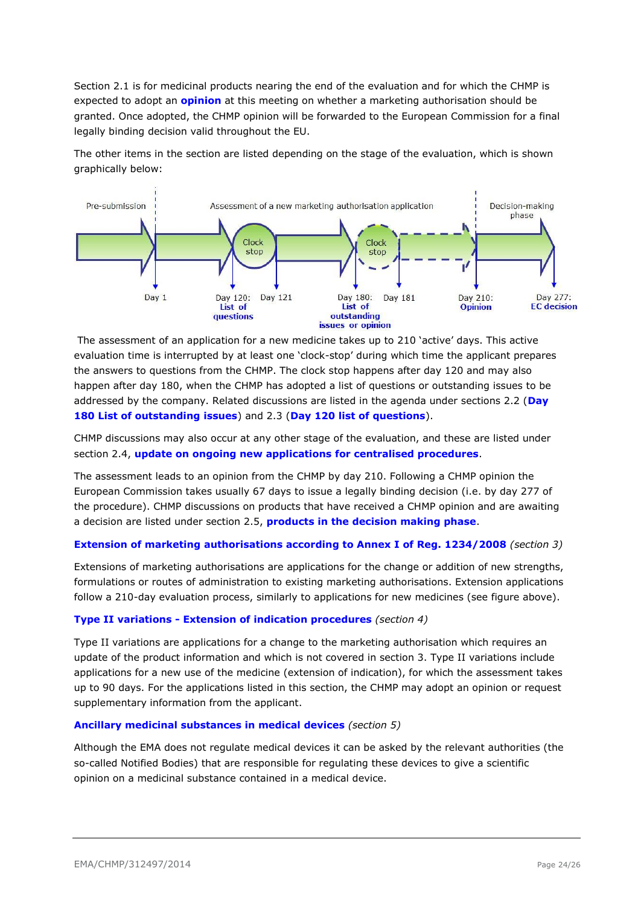Section 2.1 is for medicinal products nearing the end of the evaluation and for which the CHMP is expected to adopt an **opinion** at this meeting on whether a marketing authorisation should be granted. Once adopted, the CHMP opinion will be forwarded to the European Commission for a final legally binding decision valid throughout the EU.

The other items in the section are listed depending on the stage of the evaluation, which is shown graphically below:



The assessment of an application for a new medicine takes up to 210 'active' days. This active evaluation time is interrupted by at least one 'clock-stop' during which time the applicant prepares the answers to questions from the CHMP. The clock stop happens after day 120 and may also happen after day 180, when the CHMP has adopted a list of questions or outstanding issues to be addressed by the company. Related discussions are listed in the agenda under sections 2.2 (**Day 180 List of outstanding issues**) and 2.3 (**Day 120 list of questions**).

CHMP discussions may also occur at any other stage of the evaluation, and these are listed under section 2.4, **update on ongoing new applications for centralised procedures**.

The assessment leads to an opinion from the CHMP by day 210. Following a CHMP opinion the European Commission takes usually 67 days to issue a legally binding decision (i.e. by day 277 of the procedure). CHMP discussions on products that have received a CHMP opinion and are awaiting a decision are listed under section 2.5, **products in the decision making phase**.

### **Extension of marketing authorisations according to Annex I of Reg. 1234/2008** *(section 3)*

Extensions of marketing authorisations are applications for the change or addition of new strengths, formulations or routes of administration to existing marketing authorisations. Extension applications follow a 210-day evaluation process, similarly to applications for new medicines (see figure above).

#### **Type II variations - Extension of indication procedures** *(section 4)*

Type II variations are applications for a change to the marketing authorisation which requires an update of the product information and which is not covered in section 3. Type II variations include applications for a new use of the medicine (extension of indication), for which the assessment takes up to 90 days. For the applications listed in this section, the CHMP may adopt an opinion or request supplementary information from the applicant.

#### **Ancillary medicinal substances in medical devices** *(section 5)*

Although the EMA does not regulate medical devices it can be asked by the relevant authorities (the so-called Notified Bodies) that are responsible for regulating these devices to give a scientific opinion on a medicinal substance contained in a medical device.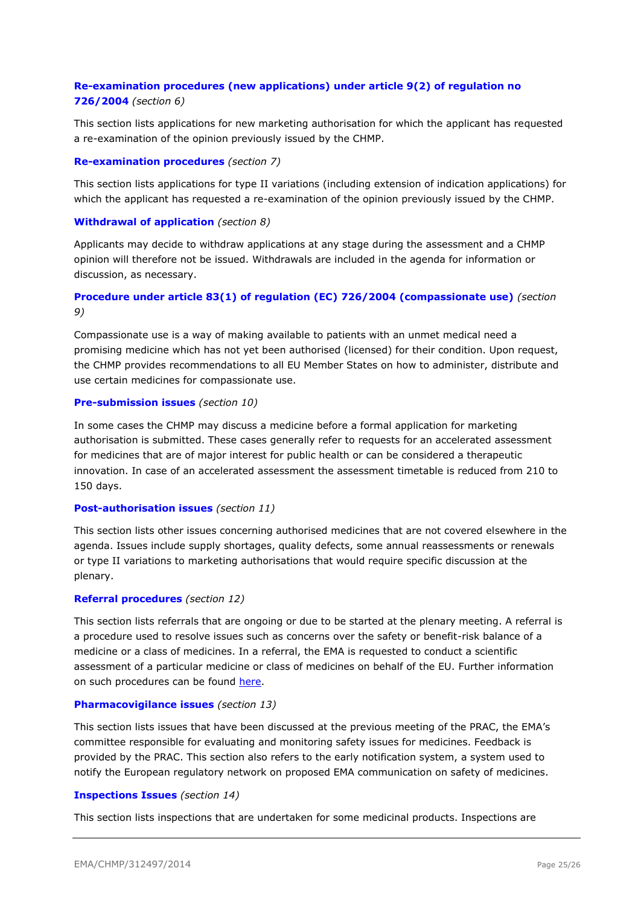## **Re-examination procedures (new applications) under article 9(2) of regulation no 726/2004** *(section 6)*

This section lists applications for new marketing authorisation for which the applicant has requested a re-examination of the opinion previously issued by the CHMP.

### **Re-examination procedures** *(section 7)*

This section lists applications for type II variations (including extension of indication applications) for which the applicant has requested a re-examination of the opinion previously issued by the CHMP.

## **Withdrawal of application** *(section 8)*

Applicants may decide to withdraw applications at any stage during the assessment and a CHMP opinion will therefore not be issued. Withdrawals are included in the agenda for information or discussion, as necessary.

## **Procedure under article 83(1) of regulation (EC) 726/2004 (compassionate use)** *(section 9)*

Compassionate use is a way of making available to patients with an unmet medical need a promising medicine which has not yet been authorised (licensed) for their condition. Upon request, the CHMP provides recommendations to all EU Member States on how to administer, distribute and use certain medicines for compassionate use.

### **Pre-submission issues** *(section 10)*

In some cases the CHMP may discuss a medicine before a formal application for marketing authorisation is submitted. These cases generally refer to requests for an accelerated assessment for medicines that are of major interest for public health or can be considered a therapeutic innovation. In case of an accelerated assessment the assessment timetable is reduced from 210 to 150 days.

#### **Post-authorisation issues** *(section 11)*

This section lists other issues concerning authorised medicines that are not covered elsewhere in the agenda. Issues include supply shortages, quality defects, some annual reassessments or renewals or type II variations to marketing authorisations that would require specific discussion at the plenary.

## **Referral procedures** *(section 12)*

This section lists referrals that are ongoing or due to be started at the plenary meeting. A referral is a procedure used to resolve issues such as concerns over the safety or benefit-risk balance of a medicine or a class of medicines. In a referral, the EMA is requested to conduct a scientific assessment of a particular medicine or class of medicines on behalf of the EU. Further information on such procedures can be found [here.](http://www.ema.europa.eu/ema/index.jsp?curl=pages/regulation/general/general_content_000150.jsp&mid=WC0b01ac05800240d0)

## **Pharmacovigilance issues** *(section 13)*

This section lists issues that have been discussed at the previous meeting of the PRAC, the EMA's committee responsible for evaluating and monitoring safety issues for medicines. Feedback is provided by the PRAC. This section also refers to the early notification system, a system used to notify the European regulatory network on proposed EMA communication on safety of medicines.

#### **Inspections Issues** *(section 14)*

This section lists inspections that are undertaken for some medicinal products. Inspections are